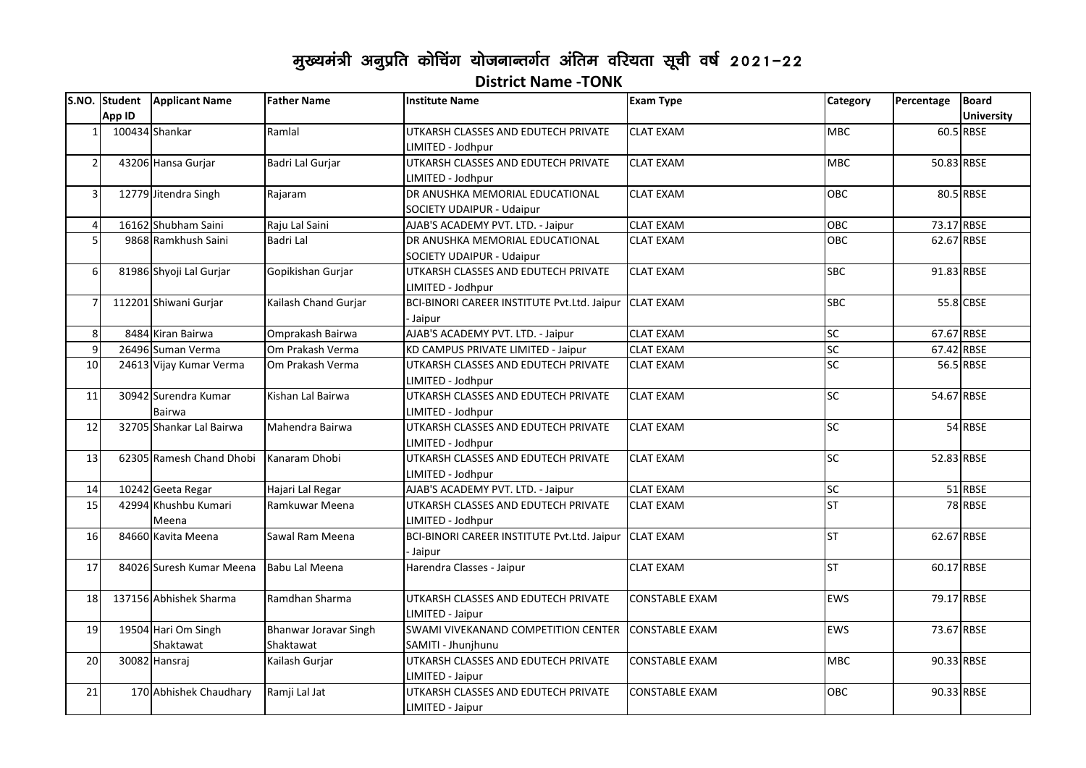## मुख्यमंत्री अनुप्रति कोचिंग योजनान्तर्गत अंतिम वरियता सूची वर्ष 2021-22 **District Name -TONK**

|                |        | S.NO. Student   Applicant Name   | <b>Father Name</b>                 | <b>Institute Name</b>                                           | <b>Exam Type</b>      | Category               | Percentage | <b>Board</b>      |
|----------------|--------|----------------------------------|------------------------------------|-----------------------------------------------------------------|-----------------------|------------------------|------------|-------------------|
|                | App ID |                                  |                                    |                                                                 |                       |                        |            | <b>University</b> |
|                |        | 100434 Shankar                   | Ramlal                             | UTKARSH CLASSES AND EDUTECH PRIVATE<br>LIMITED - Jodhpur        | <b>CLAT EXAM</b>      | <b>MBC</b>             |            | 60.5 RBSE         |
| $\overline{2}$ |        | 43206 Hansa Gurjar               | Badri Lal Gurjar                   | UTKARSH CLASSES AND EDUTECH PRIVATE<br>LIMITED - Jodhpur        | <b>CLAT EXAM</b>      | <b>MBC</b>             |            | 50.83 RBSE        |
| $\overline{3}$ |        | 12779 Jitendra Singh             | Rajaram                            | DR ANUSHKA MEMORIAL EDUCATIONAL<br>SOCIETY UDAIPUR - Udaipur    | <b>CLAT EXAM</b>      | <b>OBC</b>             |            | 80.5 RBSE         |
| $\overline{4}$ |        | 16162 Shubham Saini              | Raju Lal Saini                     | AJAB'S ACADEMY PVT. LTD. - Jaipur                               | <b>CLAT EXAM</b>      | OBC                    |            | 73.17 RBSE        |
| 5              |        | 9868 Ramkhush Saini              | Badri Lal                          | DR ANUSHKA MEMORIAL EDUCATIONAL<br>SOCIETY UDAIPUR - Udaipur    | <b>CLAT EXAM</b>      | OBC                    |            | 62.67 RBSE        |
| 6              |        | 81986 Shyoji Lal Gurjar          | Gopikishan Gurjar                  | UTKARSH CLASSES AND EDUTECH PRIVATE<br>LIMITED - Jodhpur        | <b>CLAT EXAM</b>      | <b>SBC</b>             |            | 91.83 RBSE        |
| $\overline{7}$ |        | 112201 Shiwani Gurjar            | Kailash Chand Gurjar               | BCI-BINORI CAREER INSTITUTE Pvt.Ltd. Jaipur CLAT EXAM<br>Jaipur |                       | <b>SBC</b>             |            | 55.8 CBSE         |
| 8              |        | 8484 Kiran Bairwa                | Omprakash Bairwa                   | AJAB'S ACADEMY PVT. LTD. - Jaipur                               | <b>CLAT EXAM</b>      | SC                     |            | 67.67 RBSE        |
| 9              |        | 26496 Suman Verma                | Om Prakash Verma                   | KD CAMPUS PRIVATE LIMITED - Jaipur                              | <b>CLAT EXAM</b>      | SC                     |            | 67.42 RBSE        |
| 10             |        | 24613 Vijay Kumar Verma          | Om Prakash Verma                   | UTKARSH CLASSES AND EDUTECH PRIVATE<br>LIMITED - Jodhpur        | <b>CLAT EXAM</b>      | $\overline{\text{SC}}$ |            | 56.5 RBSE         |
| 11             |        | 30942 Surendra Kumar<br>Bairwa   | Kishan Lal Bairwa                  | UTKARSH CLASSES AND EDUTECH PRIVATE<br>LIMITED - Jodhpur        | <b>CLAT EXAM</b>      | <b>SC</b>              |            | 54.67 RBSE        |
| 12             |        | 32705 Shankar Lal Bairwa         | Mahendra Bairwa                    | UTKARSH CLASSES AND EDUTECH PRIVATE<br>LIMITED - Jodhpur        | <b>CLAT EXAM</b>      | $\overline{\text{SC}}$ |            | 54 RBSE           |
| 13             |        | 62305 Ramesh Chand Dhobi         | Kanaram Dhobi                      | UTKARSH CLASSES AND EDUTECH PRIVATE<br>LIMITED - Jodhpur        | <b>CLAT EXAM</b>      | $\overline{\text{SC}}$ |            | 52.83 RBSE        |
| 14             |        | 10242 Geeta Regar                | Hajari Lal Regar                   | AJAB'S ACADEMY PVT. LTD. - Jaipur                               | <b>CLAT EXAM</b>      | SC <sub>1</sub>        |            | 51 RBSE           |
| 15             |        | 42994 Khushbu Kumari<br>Meena    | Ramkuwar Meena                     | UTKARSH CLASSES AND EDUTECH PRIVATE<br>LIMITED - Jodhpur        | <b>CLAT EXAM</b>      | <b>ST</b>              |            | 78 RBSE           |
| 16             |        | 84660 Kavita Meena               | Sawal Ram Meena                    | BCI-BINORI CAREER INSTITUTE Pvt.Ltd. Jaipur<br>Jaipur           | <b>CLAT EXAM</b>      | <b>ST</b>              |            | 62.67 RBSE        |
| 17             |        | 84026 Suresh Kumar Meena         | Babu Lal Meena                     | Harendra Classes - Jaipur                                       | <b>CLAT EXAM</b>      | ST                     |            | 60.17 RBSE        |
| 18             |        | 137156 Abhishek Sharma           | Ramdhan Sharma                     | UTKARSH CLASSES AND EDUTECH PRIVATE<br>LIMITED - Jaipur         | <b>CONSTABLE EXAM</b> | <b>EWS</b>             |            | 79.17 RBSE        |
| 19             |        | 19504 Hari Om Singh<br>Shaktawat | Bhanwar Joravar Singh<br>Shaktawat | SWAMI VIVEKANAND COMPETITION CENTER<br>SAMITI - Jhunjhunu       | <b>CONSTABLE EXAM</b> | EWS                    |            | 73.67 RBSE        |
| 20             |        | 30082 Hansraj                    | Kailash Gurjar                     | UTKARSH CLASSES AND EDUTECH PRIVATE<br>LIMITED - Jaipur         | <b>CONSTABLE EXAM</b> | <b>MBC</b>             |            | 90.33 RBSE        |
| 21             |        | 170 Abhishek Chaudhary           | Ramji Lal Jat                      | UTKARSH CLASSES AND EDUTECH PRIVATE<br>LIMITED - Jaipur         | <b>CONSTABLE EXAM</b> | <b>OBC</b>             |            | 90.33 RBSE        |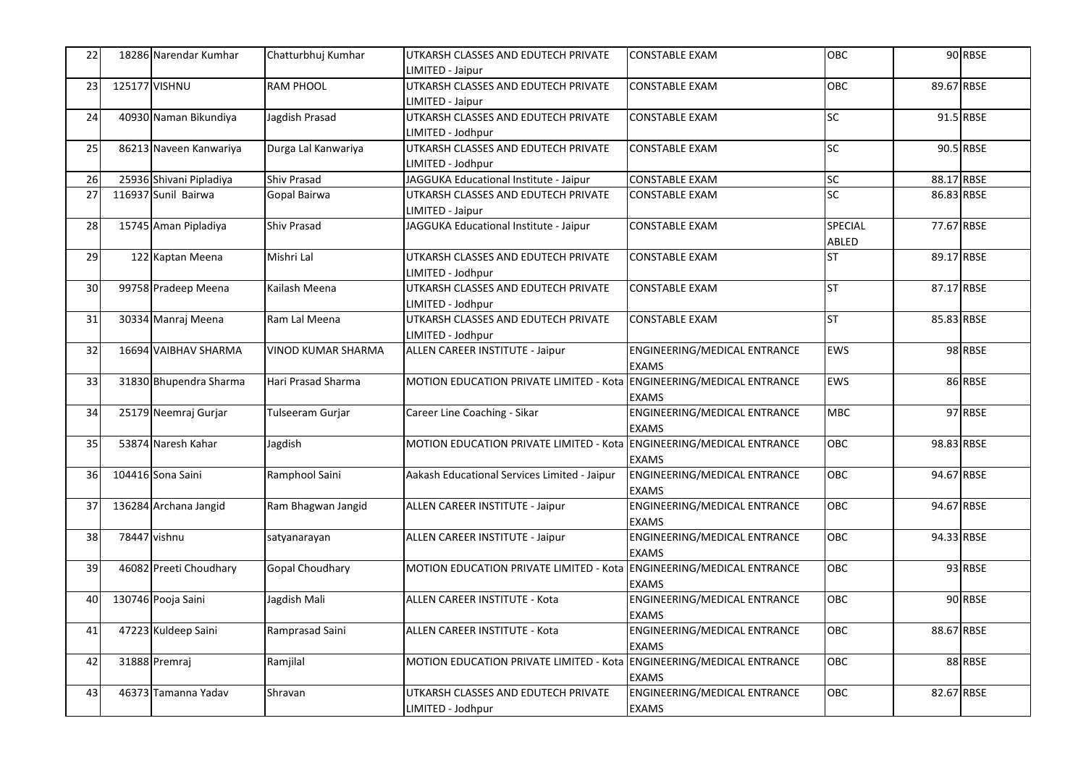| 22 | 18286 Narendar Kumhar   | Chatturbhuj Kumhar  | UTKARSH CLASSES AND EDUTECH PRIVATE                                  | <b>CONSTABLE EXAM</b>        | OBC        |            | 90 RBSE   |
|----|-------------------------|---------------------|----------------------------------------------------------------------|------------------------------|------------|------------|-----------|
|    |                         |                     | IMITED - Jaipur                                                      |                              |            |            |           |
| 23 | 125177 VISHNU           | <b>RAM PHOOL</b>    | UTKARSH CLASSES AND EDUTECH PRIVATE<br>LIMITED - Jaipur              | <b>CONSTABLE EXAM</b>        | OBC        | 89.67 RBSE |           |
|    |                         | Jagdish Prasad      |                                                                      |                              | SC         |            | 91.5 RBSE |
| 24 | 40930 Naman Bikundiya   |                     | UTKARSH CLASSES AND EDUTECH PRIVATE                                  | <b>CONSTABLE EXAM</b>        |            |            |           |
|    |                         |                     | LIMITED - Jodhpur<br>UTKARSH CLASSES AND EDUTECH PRIVATE             |                              | <b>SC</b>  |            | 90.5 RBSE |
| 25 | 86213 Naveen Kanwariya  | Durga Lal Kanwariya |                                                                      | <b>CONSTABLE EXAM</b>        |            |            |           |
|    |                         |                     | LIMITED - Jodhpur                                                    |                              |            |            |           |
| 26 | 25936 Shivani Pipladiya | Shiv Prasad         | JAGGUKA Educational Institute - Jaipur                               | <b>CONSTABLE EXAM</b>        | <b>SC</b>  | 88.17 RBSE |           |
| 27 | 116937 Sunil Bairwa     | Gopal Bairwa        | UTKARSH CLASSES AND EDUTECH PRIVATE                                  | <b>CONSTABLE EXAM</b>        | SC         | 86.83 RBSE |           |
|    |                         |                     | LIMITED - Jaipur                                                     |                              |            |            |           |
| 28 | 15745 Aman Pipladiya    | <b>Shiv Prasad</b>  | JAGGUKA Educational Institute - Jaipur                               | <b>CONSTABLE EXAM</b>        | SPECIAL    | 77.67 RBSE |           |
|    |                         |                     |                                                                      |                              | ABLED      |            |           |
| 29 | 122 Kaptan Meena        | Mishri Lal          | UTKARSH CLASSES AND EDUTECH PRIVATE                                  | <b>CONSTABLE EXAM</b>        | <b>ST</b>  | 89.17 RBSE |           |
|    |                         |                     | LIMITED - Jodhpur                                                    |                              |            |            |           |
| 30 | 99758 Pradeep Meena     | Kailash Meena       | UTKARSH CLASSES AND EDUTECH PRIVATE                                  | <b>CONSTABLE EXAM</b>        | <b>ST</b>  | 87.17 RBSE |           |
|    |                         |                     | LIMITED - Jodhpur                                                    |                              |            |            |           |
| 31 | 30334 Manraj Meena      | Ram Lal Meena       | UTKARSH CLASSES AND EDUTECH PRIVATE                                  | <b>CONSTABLE EXAM</b>        | <b>ST</b>  | 85.83 RBSE |           |
|    |                         |                     | LIMITED - Jodhpur                                                    |                              |            |            |           |
| 32 | 16694 VAIBHAV SHARMA    | VINOD KUMAR SHARMA  | ALLEN CAREER INSTITUTE - Jaipur                                      | ENGINEERING/MEDICAL ENTRANCE | EWS        |            | 98 RBSE   |
|    |                         |                     |                                                                      | <b>EXAMS</b>                 |            |            |           |
| 33 | 31830 Bhupendra Sharma  | Hari Prasad Sharma  | MOTION EDUCATION PRIVATE LIMITED - Kota ENGINEERING/MEDICAL ENTRANCE |                              | EWS        |            | 86 RBSE   |
|    |                         |                     |                                                                      | EXAMS                        |            |            |           |
| 34 | 25179 Neemraj Gurjar    | Tulseeram Gurjar    | Career Line Coaching - Sikar                                         | ENGINEERING/MEDICAL ENTRANCE | <b>MBC</b> |            | 97 RBSE   |
|    |                         |                     |                                                                      | <b>EXAMS</b>                 |            |            |           |
| 35 | 53874 Naresh Kahar      | Jagdish             | MOTION EDUCATION PRIVATE LIMITED - Kota ENGINEERING/MEDICAL ENTRANCE |                              | OBC        | 98.83 RBSE |           |
|    |                         |                     |                                                                      | <b>EXAMS</b>                 |            |            |           |
| 36 | 104416 Sona Saini       | Ramphool Saini      | Aakash Educational Services Limited - Jaipur                         | ENGINEERING/MEDICAL ENTRANCE | OBC        | 94.67 RBSE |           |
|    |                         |                     |                                                                      | <b>EXAMS</b>                 |            |            |           |
| 37 | 136284 Archana Jangid   | Ram Bhagwan Jangid  | ALLEN CAREER INSTITUTE - Jaipur                                      | ENGINEERING/MEDICAL ENTRANCE | <b>OBC</b> | 94.67 RBSE |           |
|    |                         |                     |                                                                      | <b>EXAMS</b>                 |            |            |           |
| 38 | 78447 vishnu            |                     | ALLEN CAREER INSTITUTE - Jaipur                                      | ENGINEERING/MEDICAL ENTRANCE | <b>OBC</b> | 94.33 RBSE |           |
|    |                         | satyanarayan        |                                                                      | <b>EXAMS</b>                 |            |            |           |
|    |                         |                     | MOTION EDUCATION PRIVATE LIMITED - Kota ENGINEERING/MEDICAL ENTRANCE |                              | OBC        |            | 93 RBSE   |
| 39 | 46082 Preeti Choudhary  | Gopal Choudhary     |                                                                      |                              |            |            |           |
|    |                         |                     |                                                                      | <b>EXAMS</b>                 |            |            |           |
| 40 | 130746 Pooja Saini      | Jagdish Mali        | ALLEN CAREER INSTITUTE - Kota                                        | ENGINEERING/MEDICAL ENTRANCE | <b>OBC</b> |            | 90 RBSE   |
|    |                         |                     |                                                                      | <b>EXAMS</b>                 |            |            |           |
| 41 | 47223 Kuldeep Saini     | Ramprasad Saini     | ALLEN CAREER INSTITUTE - Kota                                        | ENGINEERING/MEDICAL ENTRANCE | OBC        | 88.67 RBSE |           |
|    |                         |                     |                                                                      | <b>EXAMS</b>                 |            |            |           |
| 42 | 31888 Premraj           | Ramjilal            | MOTION EDUCATION PRIVATE LIMITED - Kota ENGINEERING/MEDICAL ENTRANCE |                              | OBC        |            | 88 RBSE   |
|    |                         |                     |                                                                      | <b>EXAMS</b>                 |            |            |           |
| 43 | 46373 Tamanna Yadav     | Shravan             | JTKARSH CLASSES AND EDUTECH PRIVATE                                  | ENGINEERING/MEDICAL ENTRANCE | <b>OBC</b> | 82.67 RBSE |           |
|    |                         |                     | LIMITED - Jodhpur                                                    | <b>EXAMS</b>                 |            |            |           |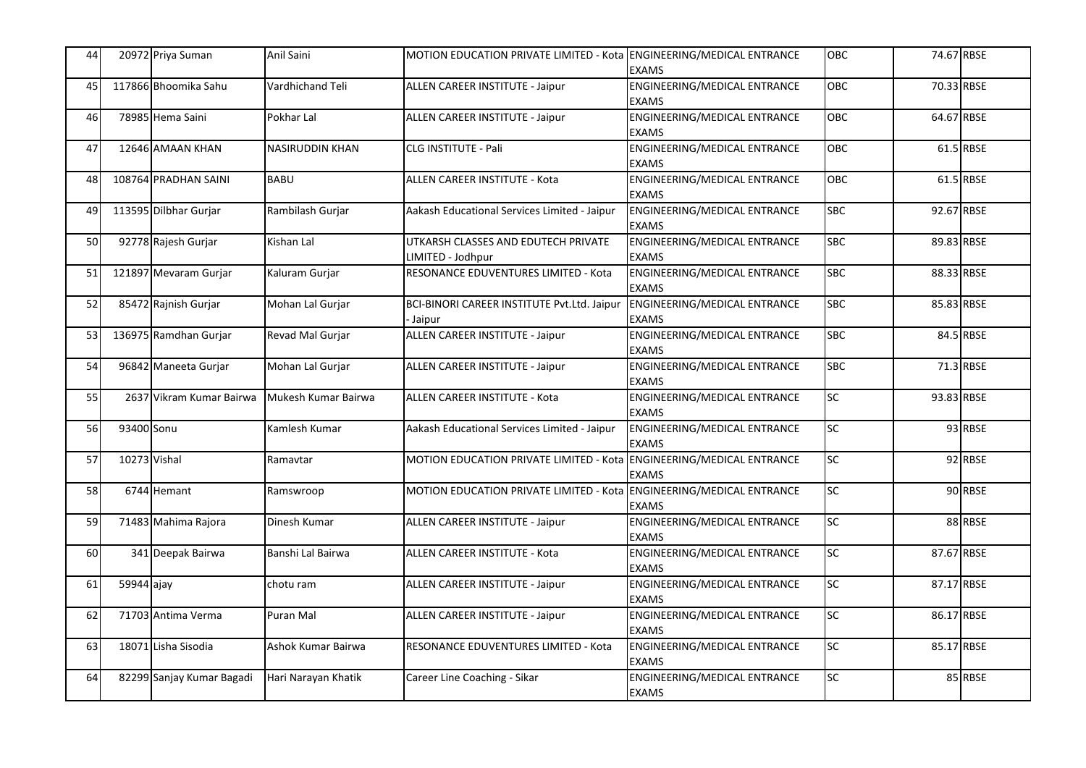| 44        |              | 20972 Priya Suman         | Anil Saini             | MOTION EDUCATION PRIVATE LIMITED - Kota ENGINEERING/MEDICAL ENTRANCE | <b>EXAMS</b>                                        | OBC             | 74.67 RBSE |           |
|-----------|--------------|---------------------------|------------------------|----------------------------------------------------------------------|-----------------------------------------------------|-----------------|------------|-----------|
| 45        |              | 117866 Bhoomika Sahu      | Vardhichand Teli       | ALLEN CAREER INSTITUTE - Jaipur                                      | ENGINEERING/MEDICAL ENTRANCE<br><b>EXAMS</b>        | OBC             | 70.33 RBSE |           |
| 46        |              | 78985 Hema Saini          | Pokhar Lal             | ALLEN CAREER INSTITUTE - Jaipur                                      | ENGINEERING/MEDICAL ENTRANCE<br><b>EXAMS</b>        | OBC             | 64.67 RBSE |           |
| 47        |              | 12646 AMAAN KHAN          | <b>NASIRUDDIN KHAN</b> | CLG INSTITUTE - Pali                                                 | ENGINEERING/MEDICAL ENTRANCE<br><b>EXAMS</b>        | OBC             |            | 61.5 RBSE |
| 48        |              | 108764 PRADHAN SAINI      | <b>BABU</b>            | ALLEN CAREER INSTITUTE - Kota                                        | ENGINEERING/MEDICAL ENTRANCE<br><b>EXAMS</b>        | OBC             |            | 61.5 RBSE |
| 49        |              | 113595 Dilbhar Gurjar     | Rambilash Gurjar       | Aakash Educational Services Limited - Jaipur                         | ENGINEERING/MEDICAL ENTRANCE<br><b>EXAMS</b>        | <b>SBC</b>      | 92.67 RBSE |           |
| 50        |              | 92778 Rajesh Gurjar       | Kishan Lal             | UTKARSH CLASSES AND EDUTECH PRIVATE<br>LIMITED - Jodhpur             | ENGINEERING/MEDICAL ENTRANCE<br><b>EXAMS</b>        | <b>SBC</b>      | 89.83 RBSE |           |
| 51        |              | 121897 Mevaram Gurjar     | Kaluram Gurjar         | RESONANCE EDUVENTURES LIMITED - Kota                                 | ENGINEERING/MEDICAL ENTRANCE<br><b>EXAMS</b>        | <b>SBC</b>      | 88.33 RBSE |           |
| 52        |              | 85472 Rajnish Gurjar      | Mohan Lal Gurjar       | BCI-BINORI CAREER INSTITUTE Pvt.Ltd. Jaipur<br><b>Jaipur</b>         | ENGINEERING/MEDICAL ENTRANCE<br><b>EXAMS</b>        | <b>SBC</b>      | 85.83 RBSE |           |
| 53        |              | 136975 Ramdhan Gurjar     | Revad Mal Gurjar       | ALLEN CAREER INSTITUTE - Jaipur                                      | ENGINEERING/MEDICAL ENTRANCE<br><b>EXAMS</b>        | <b>SBC</b>      |            | 84.5 RBSE |
| 54        |              | 96842 Maneeta Gurjar      | Mohan Lal Gurjar       | ALLEN CAREER INSTITUTE - Jaipur                                      | ENGINEERING/MEDICAL ENTRANCE<br><b>EXAMS</b>        | <b>SBC</b>      |            | 71.3 RBSE |
| 55        |              | 2637 Vikram Kumar Bairwa  | Mukesh Kumar Bairwa    | <b>ALLEN CAREER INSTITUTE - Kota</b>                                 | <b>ENGINEERING/MEDICAL ENTRANCE</b><br><b>EXAMS</b> | <b>SC</b>       | 93.83 RBSE |           |
| 56        | 93400 Sonu   |                           | Kamlesh Kumar          | Aakash Educational Services Limited - Jaipur                         | ENGINEERING/MEDICAL ENTRANCE<br><b>EXAMS</b>        | SC <sub>1</sub> |            | 93 RBSE   |
| 57        | 10273 Vishal |                           | Ramavtar               | MOTION EDUCATION PRIVATE LIMITED - Kota ENGINEERING/MEDICAL ENTRANCE | <b>EXAMS</b>                                        | SC              |            | 92 RBSE   |
| <b>58</b> |              | 6744 Hemant               | Ramswroop              | MOTION EDUCATION PRIVATE LIMITED - Kota ENGINEERING/MEDICAL ENTRANCE | <b>EXAMS</b>                                        | SC <sub>1</sub> |            | 90 RBSE   |
| 59        |              | 71483 Mahima Rajora       | Dinesh Kumar           | ALLEN CAREER INSTITUTE - Jaipur                                      | ENGINEERING/MEDICAL ENTRANCE<br><b>EXAMS</b>        | SC              |            | 88 RBSE   |
| 60        |              | 341 Deepak Bairwa         | Banshi Lal Bairwa      | <b>ALLEN CAREER INSTITUTE - Kota</b>                                 | <b>ENGINEERING/MEDICAL ENTRANCE</b><br><b>EXAMS</b> | SC              | 87.67 RBSE |           |
| 61        | 59944 ajay   |                           | chotu ram              | ALLEN CAREER INSTITUTE - Jaipur                                      | ENGINEERING/MEDICAL ENTRANCE<br><b>EXAMS</b>        | SC <sub>1</sub> | 87.17 RBSE |           |
| 62        |              | 71703 Antima Verma        | Puran Mal              | ALLEN CAREER INSTITUTE - Jaipur                                      | ENGINEERING/MEDICAL ENTRANCE<br><b>EXAMS</b>        | SC              | 86.17 RBSE |           |
| 63        |              | 18071 Lisha Sisodia       | Ashok Kumar Bairwa     | RESONANCE EDUVENTURES LIMITED - Kota                                 | ENGINEERING/MEDICAL ENTRANCE<br><b>EXAMS</b>        | SC <sub>1</sub> | 85.17 RBSE |           |
| 64        |              | 82299 Sanjay Kumar Bagadi | Hari Narayan Khatik    | Career Line Coaching - Sikar                                         | ENGINEERING/MEDICAL ENTRANCE<br><b>EXAMS</b>        | SC              |            | 85 RBSE   |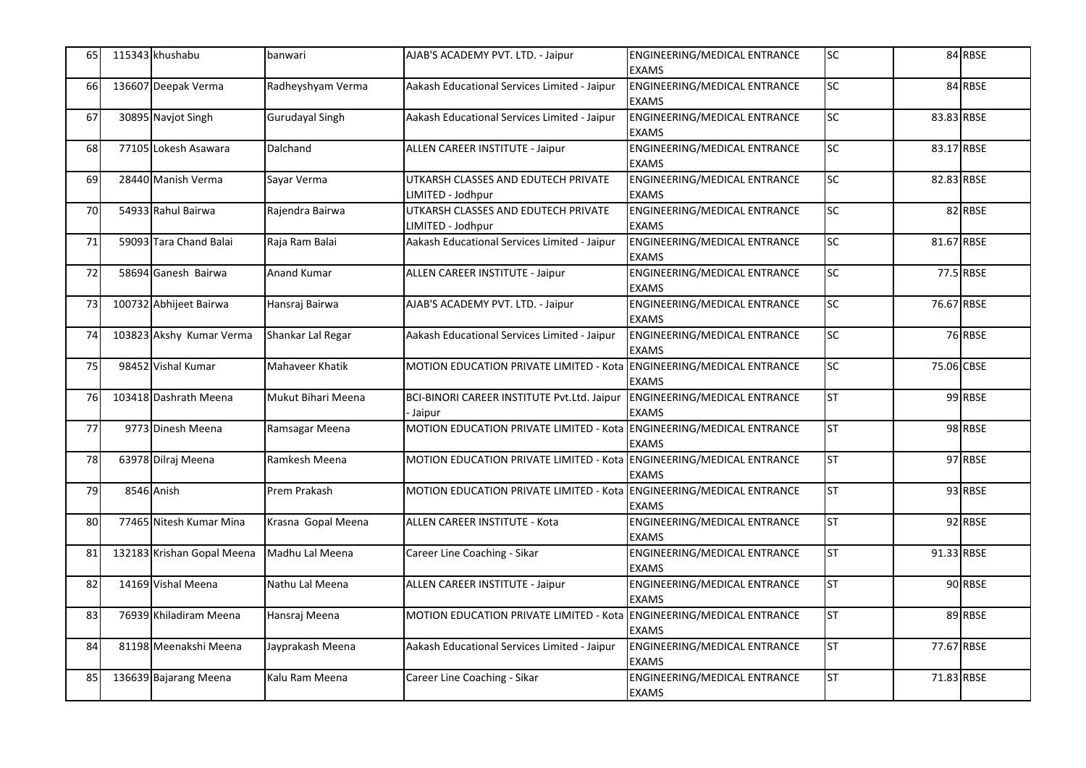| 65 | 115343 khushabu            | banwari            | AJAB'S ACADEMY PVT. LTD. - Jaipur                                    | <b>ENGINEERING/MEDICAL ENTRANCE</b><br><b>EXAMS</b> | SC        |            | 84 RBSE   |
|----|----------------------------|--------------------|----------------------------------------------------------------------|-----------------------------------------------------|-----------|------------|-----------|
| 66 | 136607 Deepak Verma        | Radheyshyam Verma  | Aakash Educational Services Limited - Jaipur                         | <b>ENGINEERING/MEDICAL ENTRANCE</b><br><b>EXAMS</b> | <b>SC</b> |            | 84 RBSE   |
| 67 | 30895 Navjot Singh         | Gurudayal Singh    | Aakash Educational Services Limited - Jaipur                         | ENGINEERING/MEDICAL ENTRANCE<br><b>EXAMS</b>        | SC        | 83.83 RBSE |           |
| 68 | 77105 Lokesh Asawara       | Dalchand           | ALLEN CAREER INSTITUTE - Jaipur                                      | ENGINEERING/MEDICAL ENTRANCE<br><b>EXAMS</b>        | SC        | 83.17 RBSE |           |
| 69 | 28440 Manish Verma         | Sayar Verma        | UTKARSH CLASSES AND EDUTECH PRIVATE<br>LIMITED - Jodhpur             | <b>ENGINEERING/MEDICAL ENTRANCE</b><br><b>EXAMS</b> | SC        | 82.83 RBSE |           |
| 70 | 54933 Rahul Bairwa         | Rajendra Bairwa    | UTKARSH CLASSES AND EDUTECH PRIVATE<br>LIMITED - Jodhpur             | ENGINEERING/MEDICAL ENTRANCE<br><b>EXAMS</b>        | <b>SC</b> |            | 82 RBSE   |
| 71 | 59093 Tara Chand Balai     | Raja Ram Balai     | Aakash Educational Services Limited - Jaipur                         | ENGINEERING/MEDICAL ENTRANCE<br><b>EXAMS</b>        | SC        | 81.67 RBSE |           |
| 72 | 58694 Ganesh Bairwa        | Anand Kumar        | ALLEN CAREER INSTITUTE - Jaipur                                      | ENGINEERING/MEDICAL ENTRANCE<br><b>EXAMS</b>        | SC        |            | 77.5 RBSE |
| 73 | 100732 Abhijeet Bairwa     | Hansraj Bairwa     | AJAB'S ACADEMY PVT. LTD. - Jaipur                                    | ENGINEERING/MEDICAL ENTRANCE<br><b>EXAMS</b>        | SC        | 76.67 RBSE |           |
| 74 | 103823 Akshy Kumar Verma   | Shankar Lal Regar  | Aakash Educational Services Limited - Jaipur                         | ENGINEERING/MEDICAL ENTRANCE<br><b>EXAMS</b>        | SC        |            | 76 RBSE   |
| 75 | 98452 Vishal Kumar         | Mahaveer Khatik    | MOTION EDUCATION PRIVATE LIMITED - Kota ENGINEERING/MEDICAL ENTRANCE | <b>EXAMS</b>                                        | SC        | 75.06 CBSE |           |
| 76 | 103418 Dashrath Meena      | Mukut Bihari Meena | BCI-BINORI CAREER INSTITUTE Pvt.Ltd. Jaipur<br>Jaipur                | ENGINEERING/MEDICAL ENTRANCE<br><b>EXAMS</b>        | <b>ST</b> |            | 99 RBSE   |
| 77 | 9773 Dinesh Meena          | Ramsagar Meena     | MOTION EDUCATION PRIVATE LIMITED - Kota ENGINEERING/MEDICAL ENTRANCE | <b>EXAMS</b>                                        | <b>ST</b> |            | 98 RBSE   |
| 78 | 63978 Dilraj Meena         | Ramkesh Meena      | MOTION EDUCATION PRIVATE LIMITED - Kota ENGINEERING/MEDICAL ENTRANCE | <b>EXAMS</b>                                        | <b>ST</b> |            | 97 RBSE   |
| 79 | 8546 Anish                 | Prem Prakash       | MOTION EDUCATION PRIVATE LIMITED - Kota ENGINEERING/MEDICAL ENTRANCE | <b>EXAMS</b>                                        | <b>ST</b> |            | 93 RBSE   |
| 80 | 77465 Nitesh Kumar Mina    | Krasna Gopal Meena | ALLEN CAREER INSTITUTE - Kota                                        | ENGINEERING/MEDICAL ENTRANCE<br><b>EXAMS</b>        | <b>ST</b> |            | 92 RBSE   |
| 81 | 132183 Krishan Gopal Meena | Madhu Lal Meena    | Career Line Coaching - Sikar                                         | <b>ENGINEERING/MEDICAL ENTRANCE</b><br><b>EXAMS</b> | <b>ST</b> | 91.33 RBSE |           |
| 82 | 14169 Vishal Meena         | Nathu Lal Meena    | ALLEN CAREER INSTITUTE - Jaipur                                      | ENGINEERING/MEDICAL ENTRANCE<br><b>EXAMS</b>        | <b>ST</b> |            | 90 RBSE   |
| 83 | 76939 Khiladiram Meena     | Hansraj Meena      | MOTION EDUCATION PRIVATE LIMITED - Kota ENGINEERING/MEDICAL ENTRANCE | <b>EXAMS</b>                                        | <b>ST</b> |            | 89 RBSE   |
| 84 | 81198 Meenakshi Meena      | Jayprakash Meena   | Aakash Educational Services Limited - Jaipur                         | ENGINEERING/MEDICAL ENTRANCE<br><b>EXAMS</b>        | <b>ST</b> | 77.67 RBSE |           |
| 85 | 136639 Bajarang Meena      | Kalu Ram Meena     | Career Line Coaching - Sikar                                         | ENGINEERING/MEDICAL ENTRANCE<br><b>EXAMS</b>        | <b>ST</b> | 71.83 RBSE |           |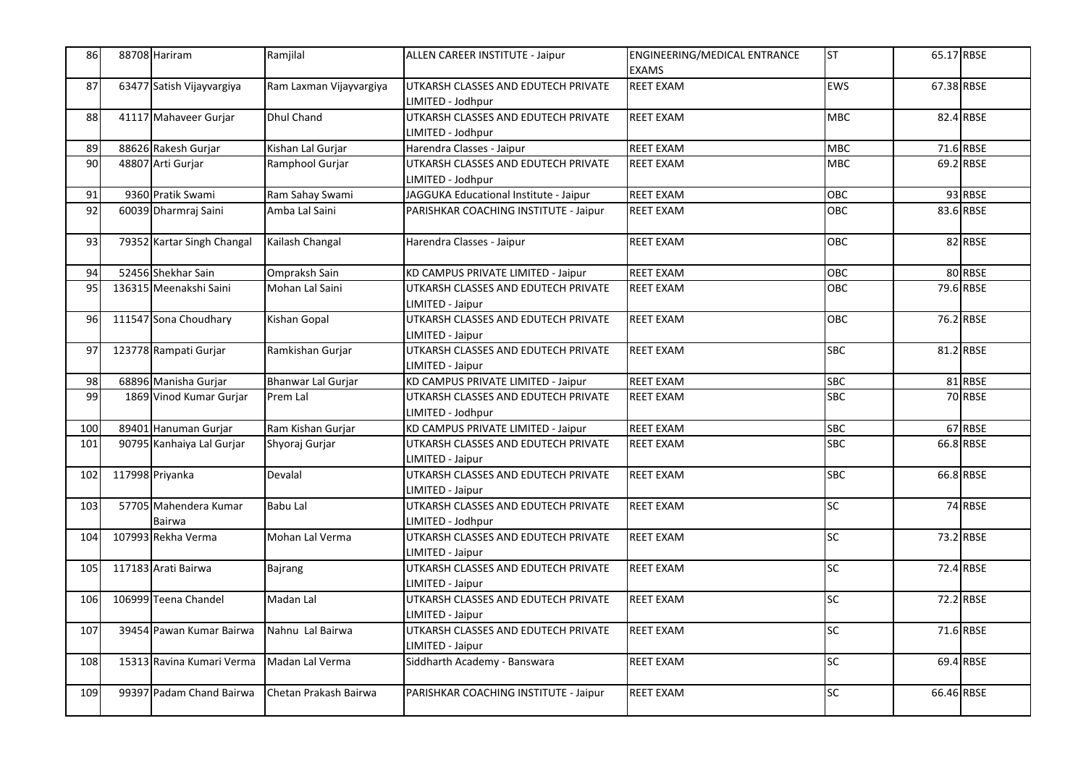| 86  | 88708 Hariram                   | Ramjilal                | ALLEN CAREER INSTITUTE - Jaipur                          | ENGINEERING/MEDICAL ENTRANCE<br><b>EXAMS</b> | <b>ST</b>       | 65.17 RBSE |           |
|-----|---------------------------------|-------------------------|----------------------------------------------------------|----------------------------------------------|-----------------|------------|-----------|
| 87  | 63477 Satish Vijayvargiya       | Ram Laxman Vijayvargiya | UTKARSH CLASSES AND EDUTECH PRIVATE<br>LIMITED - Jodhpur | <b>REET EXAM</b>                             | EWS             | 67.38 RBSE |           |
| 88  | 41117 Mahaveer Gurjar           | <b>Dhul Chand</b>       | UTKARSH CLASSES AND EDUTECH PRIVATE<br>LIMITED - Jodhpur | <b>REET EXAM</b>                             | <b>MBC</b>      |            | 82.4 RBSE |
| 89  | 88626 Rakesh Gurjar             | Kishan Lal Gurjar       | Harendra Classes - Jaipur                                | <b>REET EXAM</b>                             | <b>MBC</b>      |            | 71.6 RBSE |
| 90  | 48807 Arti Gurjar               | Ramphool Gurjar         | UTKARSH CLASSES AND EDUTECH PRIVATE<br>LIMITED - Jodhpur | <b>REET EXAM</b>                             | <b>MBC</b>      |            | 69.2 RBSE |
| 91  | 9360 Pratik Swami               | Ram Sahay Swami         | JAGGUKA Educational Institute - Jaipur                   | <b>REET EXAM</b>                             | OBC             |            | 93 RBSE   |
| 92  | 60039 Dharmraj Saini            | Amba Lal Saini          | PARISHKAR COACHING INSTITUTE - Jaipur                    | <b>REET EXAM</b>                             | OBC             |            | 83.6 RBSE |
| 93  | 79352 Kartar Singh Changal      | Kailash Changal         | Harendra Classes - Jaipur                                | <b>REET EXAM</b>                             | OBC             |            | 82 RBSE   |
| 94  | 52456 Shekhar Sain              | Ompraksh Sain           | KD CAMPUS PRIVATE LIMITED - Jaipur                       | <b>REET EXAM</b>                             | OBC             |            | 80 RBSE   |
| 95  | 136315 Meenakshi Saini          | Mohan Lal Saini         | UTKARSH CLASSES AND EDUTECH PRIVATE<br>LIMITED - Jaipur  | <b>REET EXAM</b>                             | OBC             |            | 79.6 RBSE |
| 96  | 111547 Sona Choudhary           | Kishan Gopal            | UTKARSH CLASSES AND EDUTECH PRIVATE<br>LIMITED - Jaipur  | <b>REET EXAM</b>                             | OBC             |            | 76.2 RBSE |
| 97  | 123778 Rampati Gurjar           | Ramkishan Gurjar        | UTKARSH CLASSES AND EDUTECH PRIVATE<br>LIMITED - Jaipur  | <b>REET EXAM</b>                             | <b>SBC</b>      |            | 81.2 RBSE |
| 98  | 68896 Manisha Gurjar            | Bhanwar Lal Gurjar      | KD CAMPUS PRIVATE LIMITED - Jaipur                       | <b>REET EXAM</b>                             | <b>SBC</b>      |            | 81 RBSE   |
| 99  | 1869 Vinod Kumar Gurjar         | Prem Lal                | UTKARSH CLASSES AND EDUTECH PRIVATE<br>LIMITED - Jodhpur | <b>REET EXAM</b>                             | <b>SBC</b>      |            | 70 RBSE   |
| 100 | 89401 Hanuman Gurjar            | Ram Kishan Gurjar       | KD CAMPUS PRIVATE LIMITED - Jaipur                       | <b>REET EXAM</b>                             | <b>SBC</b>      |            | 67 RBSE   |
| 101 | 90795 Kanhaiya Lal Gurjar       | Shyoraj Gurjar          | UTKARSH CLASSES AND EDUTECH PRIVATE<br>LIMITED - Jaipur  | <b>REET EXAM</b>                             | <b>SBC</b>      |            | 66.8 RBSE |
| 102 | 117998 Priyanka                 | Devalal                 | UTKARSH CLASSES AND EDUTECH PRIVATE<br>LIMITED - Jaipur  | <b>REET EXAM</b>                             | <b>SBC</b>      |            | 66.8 RBSE |
| 103 | 57705 Mahendera Kumar<br>Bairwa | Babu Lal                | UTKARSH CLASSES AND EDUTECH PRIVATE<br>LIMITED - Jodhpur | <b>REET EXAM</b>                             | SC              |            | 74 RBSE   |
| 104 | 107993 Rekha Verma              | Mohan Lal Verma         | UTKARSH CLASSES AND EDUTECH PRIVATE<br>LIMITED - Jaipur  | <b>REET EXAM</b>                             | SC              |            | 73.2 RBSE |
| 105 | 117183 Arati Bairwa             | Bajrang                 | UTKARSH CLASSES AND EDUTECH PRIVATE<br>LIMITED - Jaipur  | <b>REET EXAM</b>                             | $\overline{SC}$ |            | 72.4 RBSE |
| 106 | 106999 Teena Chandel            | Madan Lal               | UTKARSH CLASSES AND EDUTECH PRIVATE<br>LIMITED - Jaipur  | <b>REET EXAM</b>                             | $\overline{SC}$ |            | 72.2 RBSE |
| 107 | 39454 Pawan Kumar Bairwa        | Nahnu Lal Bairwa        | UTKARSH CLASSES AND EDUTECH PRIVATE<br>LIMITED - Jaipur  | <b>REET EXAM</b>                             | SC              |            | 71.6 RBSE |
| 108 | 15313 Ravina Kumari Verma       | Madan Lal Verma         | Siddharth Academy - Banswara                             | <b>REET EXAM</b>                             | SC              |            | 69.4 RBSE |
| 109 | 99397 Padam Chand Bairwa        | Chetan Prakash Bairwa   | PARISHKAR COACHING INSTITUTE - Jaipur                    | <b>REET EXAM</b>                             | SC              | 66.46 RBSE |           |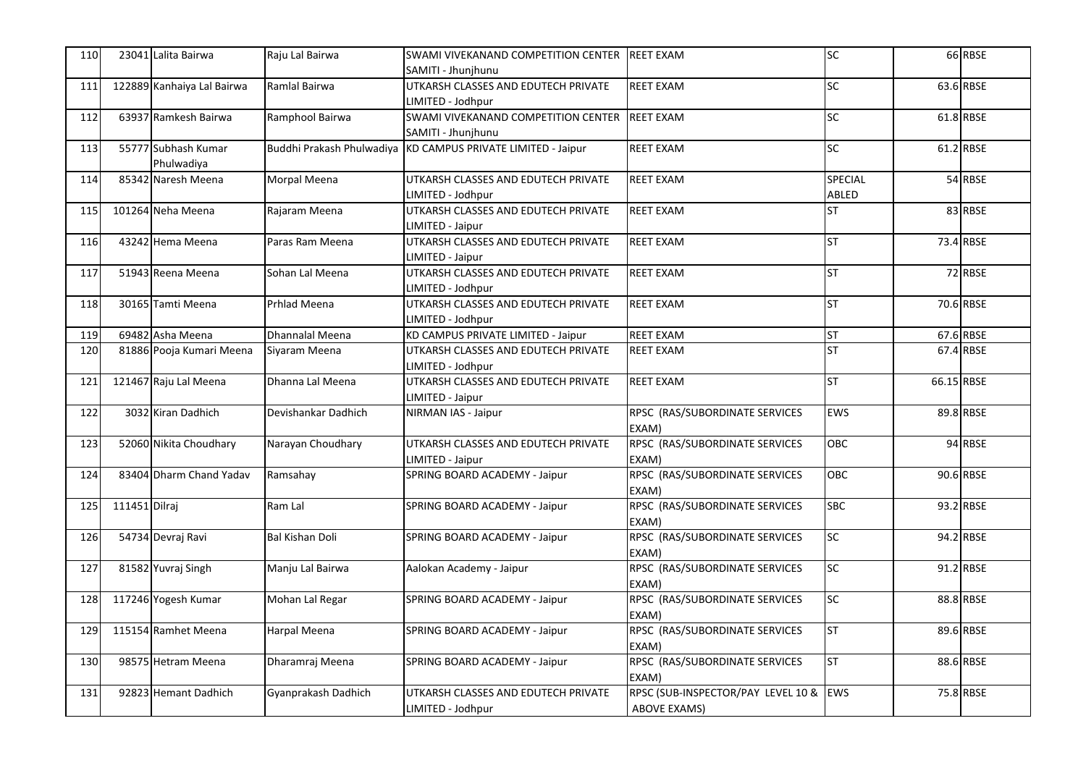| 110 |               | 23041 Lalita Bairwa               | Raju Lal Bairwa           | SWAMI VIVEKANAND COMPETITION CENTER<br>SAMITI - Jhunihunu | <b>REET EXAM</b>                                          | SC                      |            | 66 RBSE   |
|-----|---------------|-----------------------------------|---------------------------|-----------------------------------------------------------|-----------------------------------------------------------|-------------------------|------------|-----------|
| 111 |               | 122889 Kanhaiya Lal Bairwa        | Ramlal Bairwa             | UTKARSH CLASSES AND EDUTECH PRIVATE<br>LIMITED - Jodhpur  | <b>REET EXAM</b>                                          | <b>SC</b>               |            | 63.6 RBSE |
| 112 |               | 63937 Ramkesh Bairwa              | Ramphool Bairwa           | SWAMI VIVEKANAND COMPETITION CENTER<br>SAMITI - Jhunjhunu | <b>REET EXAM</b>                                          | <b>SC</b>               |            | 61.8 RBSE |
| 113 |               | 55777 Subhash Kumar<br>Phulwadiya | Buddhi Prakash Phulwadiya | KD CAMPUS PRIVATE LIMITED - Jaipur                        | <b>REET EXAM</b>                                          | SC                      |            | 61.2 RBSE |
| 114 |               | 85342 Naresh Meena                | Morpal Meena              | UTKARSH CLASSES AND EDUTECH PRIVATE<br>LIMITED - Jodhpur  | <b>REET EXAM</b>                                          | <b>SPECIAL</b><br>ABLED |            | 54 RBSE   |
| 115 |               | 101264 Neha Meena                 | Rajaram Meena             | UTKARSH CLASSES AND EDUTECH PRIVATE<br>IMITED - Jaipur    | <b>REET EXAM</b>                                          | <b>ST</b>               |            | 83 RBSE   |
| 116 |               | 43242 Hema Meena                  | Paras Ram Meena           | UTKARSH CLASSES AND EDUTECH PRIVATE<br>LIMITED - Jaipur   | <b>REET EXAM</b>                                          | <b>ST</b>               |            | 73.4 RBSE |
| 117 |               | 51943 Reena Meena                 | Sohan Lal Meena           | UTKARSH CLASSES AND EDUTECH PRIVATE<br>LIMITED - Jodhpur  | <b>REET EXAM</b>                                          | <b>ST</b>               |            | 72 RBSE   |
| 118 |               | 30165 Tamti Meena                 | <b>Prhlad Meena</b>       | UTKARSH CLASSES AND EDUTECH PRIVATE<br>LIMITED - Jodhpur  | <b>REET EXAM</b>                                          | <b>ST</b>               |            | 70.6 RBSE |
| 119 |               | 69482 Asha Meena                  | Dhannalal Meena           | KD CAMPUS PRIVATE LIMITED - Jaipur                        | <b>REET EXAM</b>                                          | <b>ST</b>               |            | 67.6 RBSE |
| 120 |               | 81886 Pooja Kumari Meena          | Siyaram Meena             | UTKARSH CLASSES AND EDUTECH PRIVATE<br>LIMITED - Jodhpur  | <b>REET EXAM</b>                                          | <b>ST</b>               |            | 67.4 RBSE |
| 121 |               | 121467 Raju Lal Meena             | Dhanna Lal Meena          | UTKARSH CLASSES AND EDUTECH PRIVATE<br>IMITED - Jaipur    | <b>REET EXAM</b>                                          | <b>ST</b>               | 66.15 RBSE |           |
| 122 |               | 3032 Kiran Dadhich                | Devishankar Dadhich       | NIRMAN IAS - Jaipur                                       | RPSC (RAS/SUBORDINATE SERVICES<br>EXAM)                   | EWS                     |            | 89.8 RBSE |
| 123 |               | 52060 Nikita Choudhary            | Narayan Choudhary         | UTKARSH CLASSES AND EDUTECH PRIVATE<br>LIMITED - Jaipur   | RPSC (RAS/SUBORDINATE SERVICES<br>EXAM)                   | OBC                     |            | 94 RBSE   |
| 124 |               | 83404 Dharm Chand Yadav           | Ramsahay                  | SPRING BOARD ACADEMY - Jaipur                             | RPSC (RAS/SUBORDINATE SERVICES<br>EXAM)                   | OBC                     |            | 90.6 RBSE |
| 125 | 111451 Dilraj |                                   | Ram Lal                   | SPRING BOARD ACADEMY - Jaipur                             | RPSC (RAS/SUBORDINATE SERVICES<br>EXAM)                   | <b>SBC</b>              |            | 93.2 RBSE |
| 126 |               | 54734 Devraj Ravi                 | <b>Bal Kishan Doli</b>    | SPRING BOARD ACADEMY - Jaipur                             | RPSC (RAS/SUBORDINATE SERVICES<br>EXAM)                   | SC                      |            | 94.2 RBSE |
| 127 |               | 81582 Yuvraj Singh                | Manju Lal Bairwa          | Aalokan Academy - Jaipur                                  | RPSC (RAS/SUBORDINATE SERVICES<br>EXAM)                   | SC                      |            | 91.2 RBSE |
| 128 |               | 117246 Yogesh Kumar               | Mohan Lal Regar           | SPRING BOARD ACADEMY - Jaipur                             | RPSC (RAS/SUBORDINATE SERVICES<br>EXAM)                   | SC                      |            | 88.8 RBSE |
| 129 |               | 115154 Ramhet Meena               | Harpal Meena              | SPRING BOARD ACADEMY - Jaipur                             | RPSC (RAS/SUBORDINATE SERVICES<br>EXAM)                   | <b>ST</b>               |            | 89.6 RBSE |
| 130 |               | 98575 Hetram Meena                | Dharamraj Meena           | SPRING BOARD ACADEMY - Jaipur                             | RPSC (RAS/SUBORDINATE SERVICES<br>EXAM)                   | <b>ST</b>               |            | 88.6 RBSE |
| 131 |               | 92823 Hemant Dadhich              | Gyanprakash Dadhich       | UTKARSH CLASSES AND EDUTECH PRIVATE<br>LIMITED - Jodhpur  | RPSC (SUB-INSPECTOR/PAY LEVEL 10 &<br><b>ABOVE EXAMS)</b> | <b>EWS</b>              |            | 75.8 RBSE |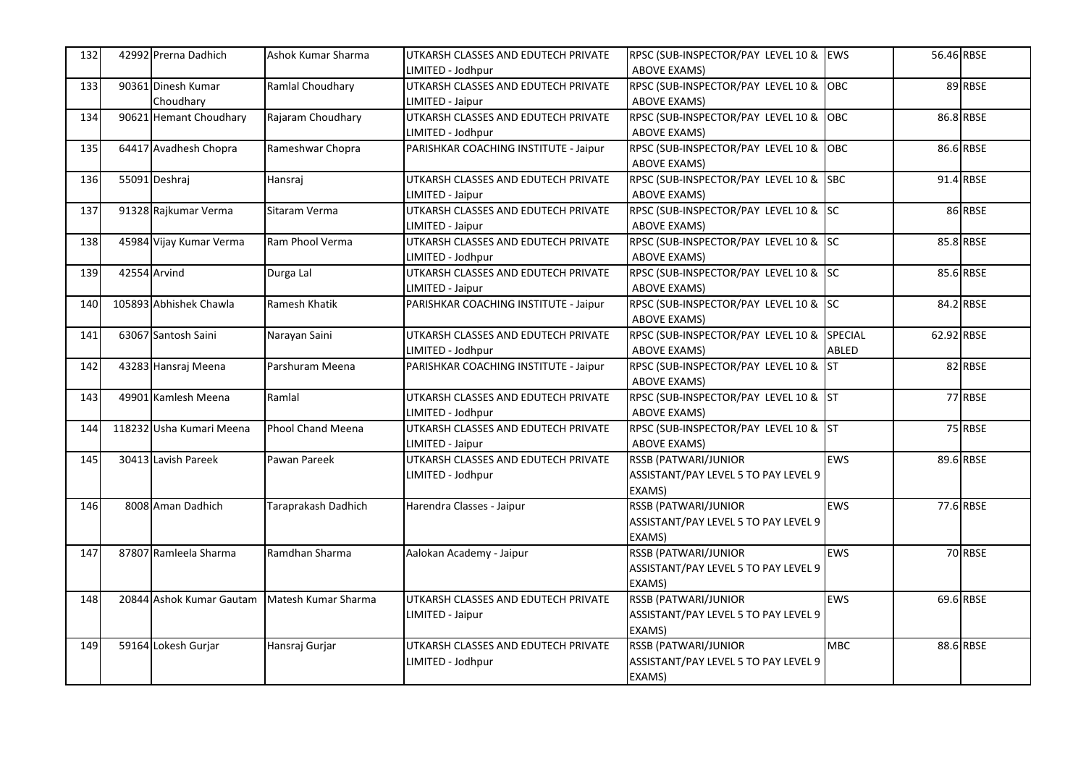| 132 | 42992 Prerna Dadhich            | Ashok Kumar Sharma       | UTKARSH CLASSES AND EDUTECH PRIVATE<br>LIMITED - Jodhpur | RPSC (SUB-INSPECTOR/PAY LEVEL 10 & EWS<br><b>ABOVE EXAMS)</b>          |            | 56.46 RBSE |           |
|-----|---------------------------------|--------------------------|----------------------------------------------------------|------------------------------------------------------------------------|------------|------------|-----------|
| 133 | 90361 Dinesh Kumar<br>Choudhary | Ramlal Choudhary         | UTKARSH CLASSES AND EDUTECH PRIVATE<br>LIMITED - Jaipur  | RPSC (SUB-INSPECTOR/PAY LEVEL 10 & OBC<br><b>ABOVE EXAMS)</b>          |            |            | 89 RBSE   |
| 134 | 90621 Hemant Choudhary          | Rajaram Choudhary        | UTKARSH CLASSES AND EDUTECH PRIVATE<br>LIMITED - Jodhpur | RPSC (SUB-INSPECTOR/PAY LEVEL 10 & OBC<br><b>ABOVE EXAMS)</b>          |            |            | 86.8 RBSE |
| 135 | 64417 Avadhesh Chopra           | Rameshwar Chopra         | PARISHKAR COACHING INSTITUTE - Jaipur                    | RPSC (SUB-INSPECTOR/PAY LEVEL 10 & OBC<br><b>ABOVE EXAMS)</b>          |            |            | 86.6 RBSE |
| 136 | 55091 Deshraj                   | Hansraj                  | UTKARSH CLASSES AND EDUTECH PRIVATE<br>LIMITED - Jaipur  | RPSC (SUB-INSPECTOR/PAY LEVEL 10 & SBC<br><b>ABOVE EXAMS)</b>          |            |            | 91.4 RBSE |
| 137 | 91328 Rajkumar Verma            | Sitaram Verma            | UTKARSH CLASSES AND EDUTECH PRIVATE<br>LIMITED - Jaipur  | RPSC (SUB-INSPECTOR/PAY LEVEL 10 & SC<br><b>ABOVE EXAMS)</b>           |            |            | 86 RBSE   |
| 138 | 45984 Vijay Kumar Verma         | Ram Phool Verma          | UTKARSH CLASSES AND EDUTECH PRIVATE<br>LIMITED - Jodhpur | RPSC (SUB-INSPECTOR/PAY LEVEL 10 & SC<br><b>ABOVE EXAMS)</b>           |            |            | 85.8 RBSE |
| 139 | 42554 Arvind                    | Durga Lal                | UTKARSH CLASSES AND EDUTECH PRIVATE<br>LIMITED - Jaipur  | RPSC (SUB-INSPECTOR/PAY LEVEL 10 & SC<br><b>ABOVE EXAMS)</b>           |            |            | 85.6 RBSE |
| 140 | 105893 Abhishek Chawla          | Ramesh Khatik            | PARISHKAR COACHING INSTITUTE - Jaipur                    | RPSC (SUB-INSPECTOR/PAY LEVEL 10 & SC<br><b>ABOVE EXAMS)</b>           |            |            | 84.2 RBSE |
| 141 | 63067 Santosh Saini             | Narayan Saini            | UTKARSH CLASSES AND EDUTECH PRIVATE<br>LIMITED - Jodhpur | RPSC (SUB-INSPECTOR/PAY LEVEL 10 & SPECIAL<br><b>ABOVE EXAMS)</b>      | ABLED      | 62.92 RBSE |           |
| 142 | 43283 Hansraj Meena             | Parshuram Meena          | PARISHKAR COACHING INSTITUTE - Jaipur                    | RPSC (SUB-INSPECTOR/PAY LEVEL 10 & ST<br><b>ABOVE EXAMS)</b>           |            |            | 82 RBSE   |
| 143 | 49901 Kamlesh Meena             | Ramlal                   | UTKARSH CLASSES AND EDUTECH PRIVATE<br>LIMITED - Jodhpur | RPSC (SUB-INSPECTOR/PAY LEVEL 10 & ST<br><b>ABOVE EXAMS)</b>           |            |            | 77 RBSE   |
| 144 | 118232 Usha Kumari Meena        | <b>Phool Chand Meena</b> | UTKARSH CLASSES AND EDUTECH PRIVATE<br>LIMITED - Jaipur  | RPSC (SUB-INSPECTOR/PAY LEVEL 10 & ST<br><b>ABOVE EXAMS)</b>           |            |            | 75 RBSE   |
| 145 | 30413 Lavish Pareek             | Pawan Pareek             | UTKARSH CLASSES AND EDUTECH PRIVATE<br>LIMITED - Jodhpur | RSSB (PATWARI/JUNIOR<br>ASSISTANT/PAY LEVEL 5 TO PAY LEVEL 9<br>EXAMS) | <b>EWS</b> |            | 89.6 RBSE |
| 146 | 8008 Aman Dadhich               | Taraprakash Dadhich      | Harendra Classes - Jaipur                                | RSSB (PATWARI/JUNIOR<br>ASSISTANT/PAY LEVEL 5 TO PAY LEVEL 9<br>EXAMS) | <b>EWS</b> |            | 77.6 RBSE |
| 147 | 87807 Ramleela Sharma           | Ramdhan Sharma           | Aalokan Academy - Jaipur                                 | RSSB (PATWARI/JUNIOR<br>ASSISTANT/PAY LEVEL 5 TO PAY LEVEL 9<br>EXAMS) | <b>EWS</b> |            | 70 RBSE   |
| 148 | 20844 Ashok Kumar Gautam        | Matesh Kumar Sharma      | UTKARSH CLASSES AND EDUTECH PRIVATE<br>LIMITED - Jaipur  | RSSB (PATWARI/JUNIOR<br>ASSISTANT/PAY LEVEL 5 TO PAY LEVEL 9<br>EXAMS) | <b>EWS</b> |            | 69.6 RBSE |
| 149 | 59164 Lokesh Gurjar             | Hansraj Gurjar           | UTKARSH CLASSES AND EDUTECH PRIVATE<br>LIMITED - Jodhpur | RSSB (PATWARI/JUNIOR<br>ASSISTANT/PAY LEVEL 5 TO PAY LEVEL 9<br>EXAMS) | <b>MBC</b> |            | 88.6 RBSE |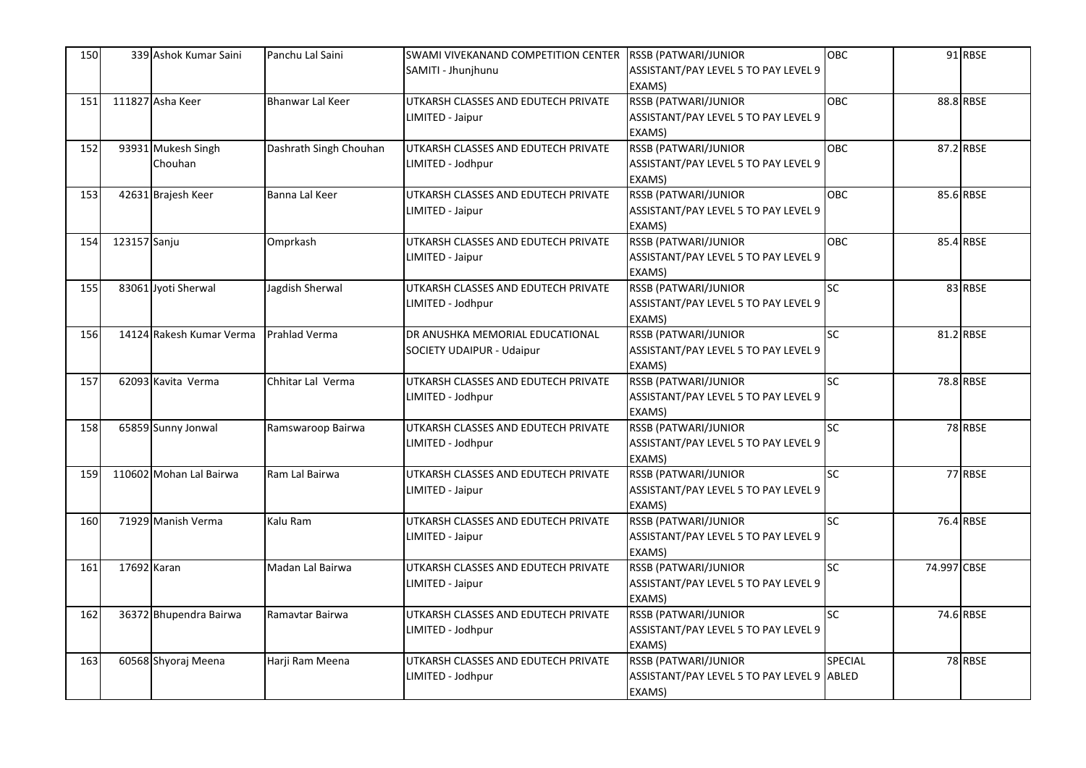| 150 |              | 339 Ashok Kumar Saini    | Panchu Lal Saini        | SWAMI VIVEKANAND COMPETITION CENTER | RSSB (PATWARI/JUNIOR                       | <b>OBC</b>     |             | 91 RBSE   |
|-----|--------------|--------------------------|-------------------------|-------------------------------------|--------------------------------------------|----------------|-------------|-----------|
|     |              |                          |                         | SAMITI - Jhunjhunu                  | ASSISTANT/PAY LEVEL 5 TO PAY LEVEL 9       |                |             |           |
|     |              |                          |                         |                                     | EXAMS)                                     |                |             |           |
| 151 |              | 111827 Asha Keer         | <b>Bhanwar Lal Keer</b> | UTKARSH CLASSES AND EDUTECH PRIVATE | RSSB (PATWARI/JUNIOR                       | OBC            |             | 88.8 RBSE |
|     |              |                          |                         | LIMITED - Jaipur                    | ASSISTANT/PAY LEVEL 5 TO PAY LEVEL 9       |                |             |           |
|     |              |                          |                         |                                     | EXAMS)                                     |                |             |           |
| 152 |              | 93931 Mukesh Singh       | Dashrath Singh Chouhan  | UTKARSH CLASSES AND EDUTECH PRIVATE | <b>RSSB (PATWARI/JUNIOR</b>                | <b>OBC</b>     |             | 87.2 RBSE |
|     |              | Chouhan                  |                         | LIMITED - Jodhpur                   | ASSISTANT/PAY LEVEL 5 TO PAY LEVEL 9       |                |             |           |
|     |              |                          |                         |                                     | EXAMS)                                     |                |             |           |
| 153 |              | 42631 Brajesh Keer       | Banna Lal Keer          | UTKARSH CLASSES AND EDUTECH PRIVATE | <b>RSSB (PATWARI/JUNIOR</b>                | <b>OBC</b>     |             | 85.6 RBSE |
|     |              |                          |                         | LIMITED - Jaipur                    | ASSISTANT/PAY LEVEL 5 TO PAY LEVEL 9       |                |             |           |
|     |              |                          |                         |                                     | EXAMS)                                     |                |             |           |
| 154 | 123157 Sanju |                          | Omprkash                | UTKARSH CLASSES AND EDUTECH PRIVATE | RSSB (PATWARI/JUNIOR                       | <b>OBC</b>     |             | 85.4 RBSE |
|     |              |                          |                         | LIMITED - Jaipur                    | ASSISTANT/PAY LEVEL 5 TO PAY LEVEL 9       |                |             |           |
|     |              |                          |                         |                                     | EXAMS)                                     |                |             |           |
| 155 |              | 83061 Jyoti Sherwal      | Jagdish Sherwal         | UTKARSH CLASSES AND EDUTECH PRIVATE | <b>RSSB (PATWARI/JUNIOR</b>                | SC             |             | 83 RBSE   |
|     |              |                          |                         | LIMITED - Jodhpur                   | ASSISTANT/PAY LEVEL 5 TO PAY LEVEL 9       |                |             |           |
|     |              |                          |                         |                                     | EXAMS)                                     |                |             |           |
| 156 |              | 14124 Rakesh Kumar Verma | Prahlad Verma           | DR ANUSHKA MEMORIAL EDUCATIONAL     | <b>RSSB (PATWARI/JUNIOR</b>                | <b>SC</b>      |             | 81.2 RBSE |
|     |              |                          |                         | <b>SOCIETY UDAIPUR - Udaipur</b>    | ASSISTANT/PAY LEVEL 5 TO PAY LEVEL 9       |                |             |           |
|     |              |                          |                         |                                     | EXAMS)                                     |                |             |           |
| 157 |              | 62093 Kavita Verma       | Chhitar Lal Verma       | UTKARSH CLASSES AND EDUTECH PRIVATE | RSSB (PATWARI/JUNIOR                       | <b>SC</b>      |             | 78.8 RBSE |
|     |              |                          |                         | LIMITED - Jodhpur                   | ASSISTANT/PAY LEVEL 5 TO PAY LEVEL 9       |                |             |           |
|     |              |                          |                         |                                     | EXAMS)                                     |                |             |           |
| 158 |              | 65859 Sunny Jonwal       | Ramswaroop Bairwa       | UTKARSH CLASSES AND EDUTECH PRIVATE | <b>RSSB (PATWARI/JUNIOR</b>                | <b>SC</b>      |             | 78 RBSE   |
|     |              |                          |                         | LIMITED - Jodhpur                   | ASSISTANT/PAY LEVEL 5 TO PAY LEVEL 9       |                |             |           |
|     |              |                          |                         |                                     | EXAMS)                                     |                |             |           |
| 159 |              | 110602 Mohan Lal Bairwa  | Ram Lal Bairwa          | UTKARSH CLASSES AND EDUTECH PRIVATE | <b>RSSB (PATWARI/JUNIOR</b>                | <b>SC</b>      |             | 77 RBSE   |
|     |              |                          |                         | LIMITED - Jaipur                    | ASSISTANT/PAY LEVEL 5 TO PAY LEVEL 9       |                |             |           |
|     |              |                          |                         |                                     | EXAMS)                                     |                |             |           |
| 160 |              | 71929 Manish Verma       | Kalu Ram                | UTKARSH CLASSES AND EDUTECH PRIVATE | RSSB (PATWARI/JUNIOR                       | <b>SC</b>      |             | 76.4 RBSE |
|     |              |                          |                         | LIMITED - Jaipur                    | ASSISTANT/PAY LEVEL 5 TO PAY LEVEL 9       |                |             |           |
|     |              |                          |                         |                                     | EXAMS)                                     |                |             |           |
| 161 | 17692 Karan  |                          | Madan Lal Bairwa        | UTKARSH CLASSES AND EDUTECH PRIVATE | RSSB (PATWARI/JUNIOR                       | <b>SC</b>      | 74.997 CBSE |           |
|     |              |                          |                         | LIMITED - Jaipur                    | ASSISTANT/PAY LEVEL 5 TO PAY LEVEL 9       |                |             |           |
|     |              |                          |                         |                                     | EXAMS)                                     |                |             |           |
| 162 |              | 36372 Bhupendra Bairwa   | Ramavtar Bairwa         | UTKARSH CLASSES AND EDUTECH PRIVATE | RSSB (PATWARI/JUNIOR                       | SC             |             | 74.6 RBSE |
|     |              |                          |                         | LIMITED - Jodhpur                   | ASSISTANT/PAY LEVEL 5 TO PAY LEVEL 9       |                |             |           |
|     |              |                          |                         |                                     | EXAMS)                                     |                |             |           |
| 163 |              | 60568 Shyoraj Meena      | Harji Ram Meena         | UTKARSH CLASSES AND EDUTECH PRIVATE | RSSB (PATWARI/JUNIOR                       | <b>SPECIAL</b> |             | 78 RBSE   |
|     |              |                          |                         | LIMITED - Jodhpur                   | ASSISTANT/PAY LEVEL 5 TO PAY LEVEL 9 ABLED |                |             |           |
|     |              |                          |                         |                                     | EXAMS)                                     |                |             |           |